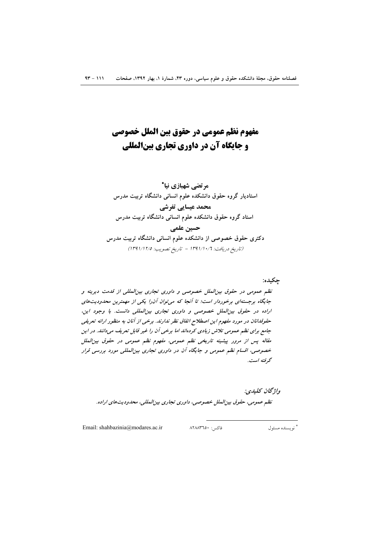# مفهوم نظم عمومي در حقوق بين الملل خصوصي **و جایگاه آن در داوری تجاری بینالمللی**

مرتضى شهبازي نيا\* استادیار گروه حقوق دانشکده علوم انسانی دانشگاه تربیت مدرس محمد عیسایی تفرشی استاد گروه حقوق دانشکده علوم انسانی دانشگاه تربیت مدرس حسين علمي دکتری حقوق خصوصی از دانشکده علوم انسانی دانشگاه تربیت مدرس (تاريخ دريافت: ١٣٩١/١٠/٦ - تاريخ تصويب: ١٣٩١/١٢/٥)

چکیده: نظم عمومی در حقوق بین الملل خصوصی و داوری تجاری بین المللی از قدمت دیرینه و جایگاه برجستهای برخوردار است؛ تا آنجا که می توان آن را یکی از مهمترین محدودیت های اراده در حقوق بین الملل خصوصی و داوری تجاری بین المللی دانست. با وجود این، حقوقدانان در مورد مفهوم این اصطلاح اتفاق نظر ندارند. برخی از آنان به منظور ارائه تعریفی جامع برای نظم عمومی تلاش زیادی کردهاند اما برخی آن را غیر قابل تعریف میدانند. در این مقاله پس از مرور پیشینه تاریخی نظم عمومی، مفهوم نظم عمومی در حقوق بین الملل خصوصی، اقسام نظم عمومی و جایگاه آن در داوری تجاری بینالمللی مورد بررسی قرار گە فتە است.

واۋىچان كىلىدى: نظم عمومي، حقوق بين الملل خصوصي، داوري تجاري بين المللي، محدوديت هاي اراده.

Email: shahbazinia@modares.ac.ir

فاكس: ۸۲۸۸۳٦٥۰

\* نو يسنده مسئول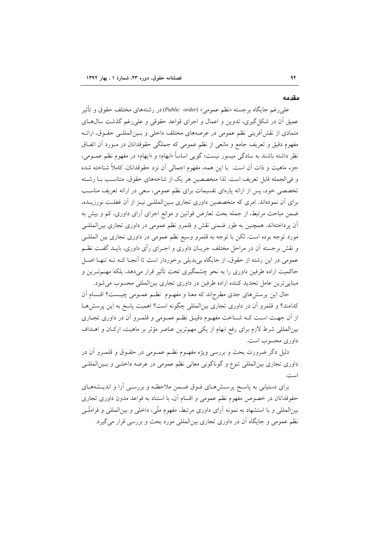#### مقدمه

علي رغم جايگاه برجسته «نظم عمومي» (Public order)در رشتههاي مختلف حقوق و تأثير عمیق آن در شکل گیری، تدوین و اعمال و اجرای قواعد حقوقی و علیرغم گذشت سال های متمادی از نقشآفرینی نظم عمومی در عرصههای مختلف داخلی و بـینالمللـی حقـوق، ارائـه مفهوم دقیق و تعریف جامع و مانعی از نظم عمومی که جملگی حقوقدانان در مـورد آن اتفـاق نظر داشته باشند به سادگی میسور نیست؛ گویی اساساً «ابهام» و «ایهام» در مفهوم نظم عمــومی، جزء ماهيت و ذات أن است. با اين همه، مفهوم اجمالي أن نزد حقوقدانان، كاملاً شناخته شده و في الجمله قابل تعريف است. لذا متخصصين هر يک از شاخههاي حقوق، متناسب بــا رشــته تخصصی خود، پس از ارائه پارهای تقسیمات برای نظم عمومی، سعی در ارائه تعریف مناسب برای آن نمودهاند. امری که متخصصین داوری تجاری بـینالمللـی نیـز از آن غفلـت نورزیــده، ضمن مباحث مرتبط، از جمله بحث تعارض قوانین و موانع اجرای آرای داوری، کم و بیش به آن پرداختهاند. همچنین به طور ضمنی نقش و قلمرو نظم عمومی در داوری تجاری بین|لمللـی مورد توجه بوده است. لكن با توجه به قلمرو وسيع نظم عمومي در داوري تجاري بين المللـي و نقش برجسته آن در مراحل مختلف جریـان داوری و اجـرای رأی داوری، بایــد گفــت نظــم عمومی در این رشته از حقوق، از جایگاه بیبدیلی برخوردار است تا آنجـا کـه نـه تنهـا اصـل حاکمیت اراده طرفین داوری را به نحو چشمگیری تحت تأثیر قرار میدهد، بلکه مهــمتـرین و مبنايي ترين عامل تحديد كننده اراده طرفين در داوري تجاري بين المللي محسوب مي شود.

حال این پرسشهای جدی مطرحاند که معنا و مفهـوم نظـم عمـومی چیـست؟ اقـسام آن کدامند؟ و قلمرو آن در داوری تجاری بینالمللی چگونه است؟ اهمیت پاسخ به این پرسشرهـا از آن جهت است كـه شـناخت مفهـوم دقيـق نظـم عمـومى و قلمـرو آن در داورى تجـارى بینالمللی شرط لازم برای رفع ابهام از یکی مهمترین عناصر مؤثر بر ماهیت، ارکـان و اهــداف داوري محسوب است.

دلیل دگر ضرورت بحث و بررسی ویژه مفهــوم نظــم عمــومی در حقــوق و قلمــرو آن در داوری تجاری بین|لمللی تنوع و گوناگونی معانی نظم عمومی در عرصه داخلـی و بـین|لمللـی است.

برای دستیابی به پاسـخ پرســش۱مـای فــوق ضــمن ملاحظــه و بررســی أرا و اندیــشههــای حقوقدانان در خصوص مفهوم نظم عمومی و اقسام آن، با استناد به قواعد مدون داوری تجاری بینالمللی و با استشهاد به نمونه آرای داوری مرتبط، مفهوم ملّی، داخلی و بین|لمللی و فراملّـی نظم عمومی و جایگاه آن در داوری تجاری بین|لمللی مورد بحث و بررسی قرار می گیرد.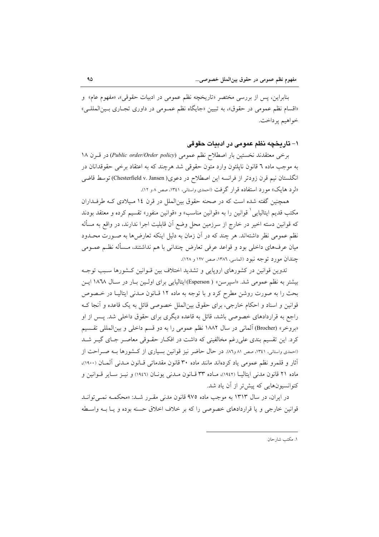بنابراين، پس از بررسي مختصر «تاريخچه نظم عمومي در ادبيات حقوقي»، «مفهوم عام» و «اقسام نظم عمومي در حقوق»، به تبيين «جايگاه نظم عمـومي در داوري تجـاري بـين|لمللـي» خواهيم پرداخت.

۱– تاریخچه نظم عمومی در ادبیات حقوقی

برخي معتقدند نخستين بار اصطلاح نظم عمومي (Public order/Order policy) در قـرن ١٨ به موجب ماده ٦ قانون ناپلئون وارد متون حقوقی شد هرچند که به اعتقاد برخی حقوقدانان در انگلستان نیم قرن زودتر از فرانسه این اصطلاح در دعوی( Chesterfield v. Jansen) توسط قاضی «لرد هایک» مورد استفاده قرار گرفت (احمدی واستانی، ۱۳٤۱، صص ۸و ۱۲).

همچنین گفته شده است که در صحنه حقوق بینالملل در قرن ۱۶ میلادی کـه طرفـداران مکتب قدیم ایتالیایی ْ قوانین را به «قوانین مناسب» و «قوانین منفور» تقسیم کرده و معتقد بودند که قوانین دسته اخیر در خارج از سرزمین محل وضع آن قابلیت اجرا ندارند، در واقع به مسأله نظم عمومی نظر داشتهاند. هر چند که در آن زمان به دلیل اینکه تعارضها به صـورت محـدود میان عرفهای داخلی بود و قواعد عرفی تعارض چندانی با هم نداشتند، مـسأله نظـم عمــومی جندان مورد توجه نبود (الماسي، ١٣٨٦، صص ١٢٧ و ١٢٨).

تدوین قوانین در کشورهای اروپایی و تشدید اختلاف بین قـوانین کـشورها سـبب توجـه بيشتر به نظم عمومي شد. «اسيرسن» ( Esperson)ايتاليايي براي اوليين بـار در سـال ١٨٦٨ ايـن بحث را به صورت روشن مطرح کرد و با توجه به ماده ١٢ قبانون مبدنی ایتالیبا در ختصوص قوانین و اسناد و احکام خارجی، برای حقوق بین|لملل خصوصی قائل به یک قاعده و آنجا ک راجع به قراردادهای خصوصی باشد، قائل به قاعده دیگری برای حقوق داخلی شد. یــس از او «بروخر» (Brocher) آلمانی در سال ۱۸۸۲ نظم عمومی را به دو قسم داخلی و بین|لمللی تقـسیم کرد. این تقسیم بندی علیرغم مخالفینی که داشت در افکـار حقـوقی معاصـر جـای گیـر شـد (احمدی واستانی، ۱۳٤۱، صص ۸۱ و۸٦). در حال حاضر نیز قوانین بسیاری از کشورها بـه صـراحت از آثار و قلمرو نظم عمومی یاد کردهاند مانند ماده ۳۰ قانون مقدماتی قبانون مبدنی آلمیان (۱۹۰۰)، ماده ۲۱ قانون مدنی ایتالیـا (۱۹٤۲)، مـاده ۳۳ قـانون مـدنی پونـان (۱۹٤٦) و نیـز سـایر قـوانین و کنوانسیونهایی که پیش تر از آن یاد شد.

در ایران، در سال ۱۳۱۳ به موجب ماده ۹۷۵ قانون مدنی مقرر شد: «محکمـه نمـیتوانـد قوانین خارجی و یا قراردادهای خصوصی را که بر خلاف اخلاق حسنه بوده و یـا بــه واسـطه

١. مكتب شارحان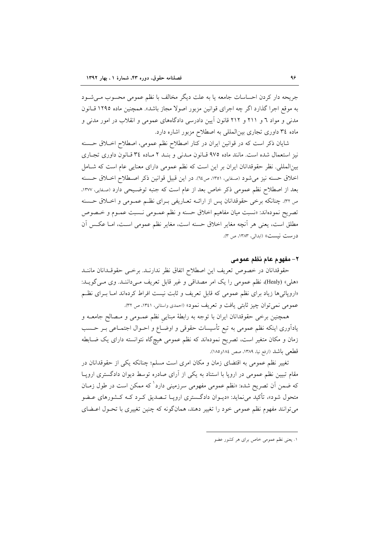جريحه دار كردن احساسات جامعه يا به علت ديگر مخالف با نظم عمومي محسوب مـي شـود به موقع اجرا گذارد اگر چه اجرای قوانین مزبور اصولا مجاز باشد». همچنین ماده ۱۲۹۵ قــانون مدنی و مواد ٦ و ٢١١ و ٢١٢ قانون آيين دادرسي دادگاههاي عمومي و انقلاب در امور مدني و ماده ۳٤ داوری تجاری بینالمللی به اصطلاح مزبور اشاره دارد.

شایان ذکر است که در قوانین ایران در کنار اصطلاح نظم عمومی، اصطلاح اخـلاق حـسنه نیز استعمال شده است. مانند ماده ۹۷۵ قبانون مـدنی و بنـد ۲ مـاده ۳٤ قبانون داوری تجباری بینالمللی. نظر حقوقدانان ایران بر این است که نظم عمومی دارای معنایی عام است که شـامل اخلاق حسنه نيز مي شود (صفايي، ١٣٥١، ص٦٤). در اين قبيل قوانين ذكر اصطلاح اخـلاق حـسنه بعد از اصطلاح نظم عمومی ذکر خاص بعد از عام است که جنبه توضـیحی دارد (صـفایی، ۱۳۷۷. ص ٣٢. چنانکه برخی حقوقدانان پس از ارائــه تعــاریفی بــرای نظــم عمــومی و اخــلاق حــسنه تصريح نمودهاند: «نسبت ميان مفاهيم اخلاق حسنه و نظم عمـومي نـسبت عمـوم و خـصوص مطلق است، يعني هر أنچه مغاير اخلاق حسنه است، مغاير نظم عمومي اسـت، امـا عكـس أن درست نیست» (ابدالی، ۱۳۸۳، ص ۳).

#### ٢- مفهوم عام نظم عمومي

حقوقدانان در خصوص تعريف اين اصطلاح اتفاق نظر ندارنـد. برخـي حقوقـدانان ماننـد «هلي» (Healy)، نظم عمومي را يک امر مصداقي و غير قابل تعريف مـيداننـد. وي مـي گويـد: «اروپائیها زیاد برای نظم عمومی که قابل تعریف و ثابت نیست افراط کردهاند امـا بـرای نظـم عمومي نمي توان چيز ثابتي يافت و تعريف نمود» (احمدي واستاني، ١٣٤١، ص ٣٢).

همچنین برخی حقوقدانان ایران با توجه به رابطهٔ مبنایی نظم عمـومی و مـصالح جامعــه و یاداًوری اینکه نظم عمومی به تبع تأسیسات حقوقی و اوضـاع و احــوال اجتمــاعی بــر حــسب زمان و مکان متغیر است، تصریح نمودهاند که نظم عمومی هیچگاه نتوانسته دارای یک ضـابطه قطعي باشد (ارفع نيا، ١٣٨٩، صص ١٨٤و١٨٥).

تغییر نظم عمومی به اقتضای زمان و مکان امری است مسلم؛ چنانکه یکی از حقوقدانان در مقام تبیین نظم عمومی در اروپا با استناد به یکی از آرای صادره توسط دیوان دادگستری اروپا که ضمن اَن تصریح شده: «نظم عمومی مفهومی سرزمینی دارد<sup>ا</sup> که ممکن است در طول زمـان متحول شود»، تأکید می نماید: «دیــوان دادگــستری اروپــا تــصدیق کــرد کــه کــشورهای عــضو می توانند مفهوم نظم عمومی خود را تغییر دهند، همانگونه که چنین تغییری با تحـول اعــضای

۰۱ یعنی نظم عمومی خاص برای هر کشور عضو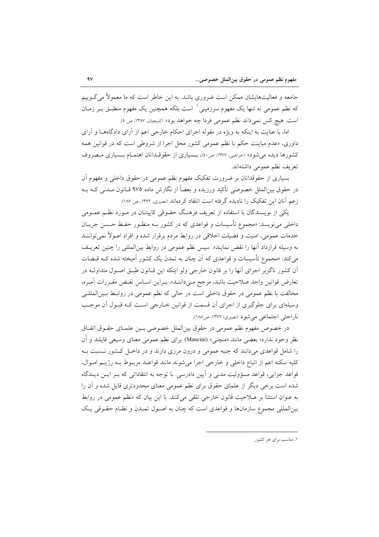جامعه و فعالیتهایشان ممکن است ضروری باشد. به این خاطر است که ما معمولاً می گـوییم که نظم عمومی نه تنها یک مفهوم سرزمینی باست بلکه همچنین یک مفهوم منطبـق بـر زمـان است. هيچ كس نمىداند نظم عمومى فردا چه خواهد بود» (كِسِجِيان، ١٣٨٧، ص ٥).

اما، با عنایت به اینکه به ویژه در مقوله اجرای احکام خارجی اعم از آرای دادگاههــا و آرای داوری، «عدم مباینت حکم با نظم عمومی کشور محل اجرا از شروطی است که در قوانین همه كشورها ديده مي شود» (خزاعي، ١٣٧٧، ص٤٠)، بـسياري از حقوقـدانان اهتمـام بـسياري مـصروف تعريف نظم عمومي داشتهاند.

بسیاری از حقوقدانان بر ضرورت تفکیک مفهوم نظم عمومی در حقوق داخلی و مفهوم آن در حقوق بین|لملل خصوصی تأکید ورزیده و بعضاً از نگارش ماده ۹۷۵ قــانون مــدنی کــه بــه زعم آنان این تفکیک را نادیده گرفته است انتقاد کردهاند (نصیری، ۱۳۷۲، ص ۱۸۷).

یکی از نویسندگان با استفاده از تعریف فرهنگ حقـوقی کاپیتـان در مـورد نظـم عمـومی داخلی میiویسد: «مجموع تأسیسات و قواعدی که در کشور بــه منظــور حفــظ حــسن جریــان خدمات عمومی، امنیت و فضیلت اخلاقی در روابط مردم برقرار شده و افراد اصولاً نمیٍتواننــد به وسیله قرارداد آنها را نقض نمایند». سپس نظم عمومی در روابط بینالمللی را چنین تعریـف میکند: «مجموع تأسیسات و قواعدی که اَن چنان به تمدن یک کشور اَمیخته شده کـه قــضات آن کشور ناگزیر اجرای آنها را بر قانون خارجی ولو اینکه این قــانون طبـق اصــول متداولــه در تعارض قوانين واجد صلاحيت باشد، مرجح مـىداننـد». بـراين اسـاس نقـض مقـررات أمـره، مخالفت با نظم عمومی در حقوق داخلی است در حالی که نظم عمومی در روابـط بـینالمللـی وسیلهای برای جلوگیری از اجرای آن قسمت از قوانین خـارجی اسـت کـه قبـول آن موجـب ناراحتی اجتماعی میشود (نصیری، ۱۳۷۲، ص۱۸۸).

در خصوص مفهوم نظم عمومي در حقوق بين|لملل خصوصي بـين علمـاي حقــوق اتفــاق نظر وجود ندارد؛ بعضي مانند «منچني» (Mancini) براي نظم عمومي معناي وسيعي قايلند و آن را شامل قواعدی میدانند که جنبه عمومی و درون مرزی دارند و در داخـل کـشور نـسبت بـه كليه سكنه اعم از اتباع داخلي و خارجي اجرا مي شوند مانند قواعـد مربـوط بـه رژيـم امـوال، قواعد جزایی، قواعد مسؤولیت مدنی و آیین دادرسی. با توجه به انتقاداتی که بـر ایــن دیــدگاه شده است برخی دیگر از علمای حقوق برای نظم عمومی معنای محدودتری قایل شده و آن را به عنوان استثنا بر صلاحیت قانون خارجی تلقی میکنند. با این بیان که «نظم عمومی در روابط بین|لمللی مجموع سازمانها و قواعدی است که چنان به اصـول تمـدن و نظـام حقـوقی یـک

۱. مناسب برای هر کشور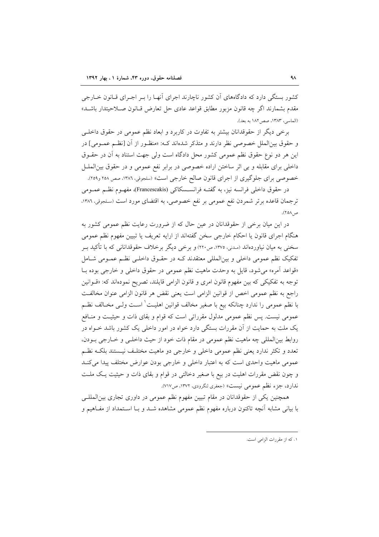کشور بستگی دارد که دادگاههای آن کشور ناچارند اجرای آنهـا را بـر اجـرای قـانون خـارجی مقدم بشمارند اگر چه قانون مزبور مطابق قواعد عادي حل تعارض قــانون صــلاحيتدار باشــد» (الماسي، ١٣٨٣، صص ١٨٢ به بعد).

برخی دیگر از حقوقدانان بیشتر به تفاوت در کاربرد و ابعاد نظم عمومی در حقوق داخلـی و حقوق بین الملل خصوصی نظر دارند و متذکر شدهاند که: «منظـور از آن [نظـم عمـومی] در این هر دو نوع حقوق نظم عمومی کشور محل دادگاه است ولی جهت استناد به آن در حقـوق داخلی برای مقابله و بی اثر ساختن اراده خصوصی در برابر نفع عمومی و در حقوق بین الملـل خصوصی برای جلوگیری از اجرای قانون صالح خارجی است» (سلجوقی، ۱۳۸۶، صص ۲۵۸ و۲۰۹).

در حقوق داخلی فرانسه نیز، به گفتــه فرانســسکاکی (Francescakis)، مفهــوم نظــم عـمــومی ترجمان قاعده برتر شمردن نفع عمومی بر نفع خصوصی، به اقتضای مورد است (سلجوقی، ۱۳۸۶، ص ۲۵۸).

در این میان برخی از حقوقدانان در عین حال که از ضرورت رعایت نظم عمومی کشور به هنگام اجرای قانون یا احکام خارجی سخن گفتهاند از ارایه تعریف یا تبیین مفهوم نظم عمومی سخنی به میان نیاوردهاند (مـدنی، ۱۳۷۵، ص۲۲۰) و برخی دیگر برخلاف حقوقدانانی که با تأکید بــر تفکیک نظم عمومی داخلی و بینالمللی معتقدند کـه در حقـوق داخلـی نظـم عمـومی شـامل «قواعد آمره» می شود، قایل به وحدت ماهیت نظم عمومی در حقوق داخلی و خارجی بوده بـا توجه به تفکیکی که بین مفهوم قانون امری و قانون الزامی قایلند، تصریح نمودهاند که: «قــوانین راجع به نظم عمومي اخص از قوانين الزامي است يعني نقض هر قانون الزامي عنوان مخالفت با نظم عمومی را ندارد چنانکه بیع با صغیر مخالف قوانین اهلیـت ٰ اسـت ولـی مخــالف نظــم عمومی نیست. پس نظم عمومی مدلول مقرراتی است که قوام و بقای ذات و حیثیـت و منــافع یک ملت به حمایت از آن مقررات بستگی دارد خواه در امور داخلی یک کشور باشد خــواه در روابط بين|لمللي چه ماهيت نظم عمومي در مقام ذات خود از حيث داخلـي و خــارجي بــودن، تعدد و تکثر ندارد یعنی نظم عمومی داخلی و خارجی دو ماهیت مختلـف نیـستند بلکـه نظـم عمومي ماهيت واحدى است كه به اعتبار داخلي و خارجي بودن عوارض مختلف پيدا مي كنـد و چون نقض مقررات اهلیت در بیع با صغیر دخالتی در قوام و بقای ذات و حیثیت یک ملت ندارد، جزء نظم عمومي نيست» (جعفري لنگرودي، ١٣٧٢، ص٧١٧).

همچنین یکی از حقوقدانان در مقام تبیین مفهوم نظم عمومی در داوری تجاری بین المللـی با بیانی مشابه أنچه تاکنون درباره مفهوم نظم عمومی مشاهده شـد و بـا اسـتمداد از مفـاهیم و

١. كه از مقررات الزامى است.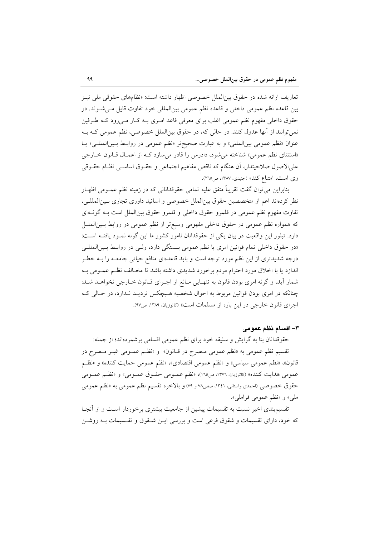تعاریف ارائه شده در حقوق بین|لملل خصوصی اظهار داشته است: «نظامهای حقوقی ملی نیـز بين قاعده نظم عمومي داخلي و قاعده نظم عمومي بينالمللي خود تفاوت قايل مـي شـوند. در حقوق داخلی مفهوم نظم عمومی اغلب برای معرفی قاعد امـری بــه کـار مــیرود کــه طـرفین نمي توانند از آنها عدول كنند. در حالي كه، در حقوق بينالملل خصوصي، نظم عمومي كـه بـه عنوان «نظم عمومي بين المللي» و به عبارت صحيح تر «نظم عمومي در روابط بـين المللـي» يـا «استثنای نظم عمومی» شناخته می شود، دادرس را قادر می سازد ک از اعمال قبانون خبارجی علىالاصول صلاحيتدار، أن هنگام كه ناقض مفاهيم اجتماعي و حقـوق اساسـي نظـام حقـوقي وی است، امتناع کند» (جنیدی، ۱۳۸۷، ص۲۱۵).

بنابراین می توان گفت تقریباً متفق علیه تمامی حقوقدانانی که در زمینه نظم عمـومی اظهـار نظر كردهاند اعم از متخصصين حقوق بين الملل خصوصي و اساتيد داوري تجاري بـين المللـي، تفاوت مفهوم نظم عمومي در قلمرو حقوق داخلي و قلمرو حقوق بين|لملل است بــه گونــهاي که همواره نظم عمومی در حقوق داخلی مفهومی وسیع تر از نظم عمومی در روابط بـینالملــل دارد. تبلور این واقعیت در بیان یکی از حقوقدانان نامور کشور ما این گونه نمـود یافتـه اسـت: «در حقوق داخلی تمام قوانین امری با نظم عمومی بـستگی دارد، ولـی در روابـط بـینالمللـی درجه شدیدتری از این نظم مورد توجه است و باید قاعدهای منافع حیاتی جامعـه را بـه خطـر اندازد یا با اخلاق مورد احترام مردم برخورد شدیدی داشته باشد تا مخـالف نظـم عمـومی بـه شمار آید، و گرنه امری بودن قانون به تنهایی مانع از اجـرای قـانون خـارجی نخواهـد شـد: چنانکه در امری بودن قوانین مربوط به احوال شخصیه هـیچکس تردیـد نـدارد، در حـالی کـه اجراي قانون خارجي در اين باره از مسلمات است» (کاتوزيان، ۱۳۸۹، ص۹۷).

#### ٣- اقسام نظم عمومي

حقوقدانان بنا به گرایش و سلیقه خود برای نظم عمومی اقسامی برشمردهاند؛ از جمله: تقسیم نظم عمومی به «نظم عمومی مـصرح در قــانون» و «نظــم عمــومی غیــر مـصرح در قانون»، «نظم عمومي سياسي» و «نظم عمومي اقتصادي»، «نظم عمومي حمايت كننده» و «نظـم عمومي هدايت كننده» (كاتوزيان، ١٣٧٦، ص١٦٥)، «نظم عمـومي حقـوق عمـومي» و «نظـم عمـومي حقوق خصوصی (احمدی واستانی، ۱۳٤۱، صص۷۸ و ۷۹) و بالاخره تقسیم نظم عمومی به «نظم عمومی ملي» و «نظم عمومي فراملي».

تقسیم بندی اخیر نسبت به تقسیمات پیشین از جامعیت بیشتری برخوردار اسـت و از آنجـا که خود، دارای تقسیمات و شقوق فرعی است و بررسی ایـن شـقوق و تقـسیمات بـه روشـن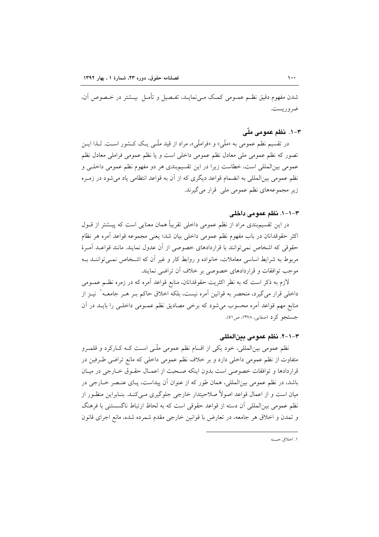شدن مفهوم دقیق نظـم عمــومی کمـک مــیiمایــد، تفـصیل و تأمــل بیــشتر در خــصوص آن، ضروريست.

## ۳–۱. نظم عمومی ملّی

در تقسیم نظم عمومی به «ملّی» و «فراملّی»، مراد از قید ملّـی یـک کـشور اسـت. لـذا ایــن تصور که نظم عمومی ملی معادل نظم عمومی داخلی است و یا نظم عمومی فراملی معادل نظم عمومی بینالمللی است، خطاست زیرا در این تقسیم.بندی هر دو مفهوم نظم عمومی داخلـی و نظم عمومی بینالمللی به انضمام قواعد دیگری که از آن به قواعد انتظامی یاد می شود در زمـره زیر مجموعههای نظم عمومی ملی قرار میگیرند.

#### ٣–١-١. نظم عمومي داخلي

در این تقسیمبندی مراد از نظم عمومی داخلی تقریباً همان معنایی است که پیــشتر از قــول اكثر حقوقدانان در باب مفهوم نظم عمومي داخلي بيان شد؛ يعني مجموعه قواعد آمره هر نظام حقوقی که اشخاص نمی توانند با قراردادهای خصوصی از آن عدول نمایند. مانند قواعـد آمـرهٔ مربوط به شرایط اساسی معاملات، خانواده و روابط کار و غیر آن که اشـخاص نمـیتواننــد بــه موجب توافقات و قراردادهای خصوصی بر خلاف آن تراضی نمایند.

لازم به ذکر است که به نظر اکثریت حقوقدانان، منابع قواعد آمره که در زمره نظـم عمــومی داخلی قرار میگیرد، منحصر به قوانین آمره نیست، بلکه اخلاق حاکم بـر هـر جامعـه` نیــز از منابع مهم قواعد آمره محسوب می شود که برخی مصادیق نظم عمـومی داخلـی را بایــد در آن جستجو کرد (صفایی، ۱۳۷۸، ص٥١).

#### ٣–١-٦. نظم عمومي بينالمللي

نظم عمومی بین|لمللی، خود یکی از اقسام نظم عمومی ملّـی اسـت کـه کــارکرد و قلمــرو متفاوت از نظم عمومی داخلی دارد و بر خلاف نظم عمومی داخلی که مانع تراضی طـرفین در قراردادها و توافقات خصوصی است بدون اینکه صحبت از اعمـال حقـوق خـارجی در میـان باشد، در نظم عمومی بینالمللی، همان طور که از عنوان آن پیداست، پـای عنـصر خـارجی در میان است و از اعمال قواعد اصولاً صلاحیتدار خارجی جلوگیری مـی کنـد. بنـابراین منظـور از نظم عمومي بين|لمللي أن دسته از قواعد حقوقي است كه به لحاظ ارتباط ناگسستني با فرهنگ و تمدن و اخلاق هر جامعه، در تعارض با قوانین خارجی مقدم شمرده شده، مانع اجرای قانون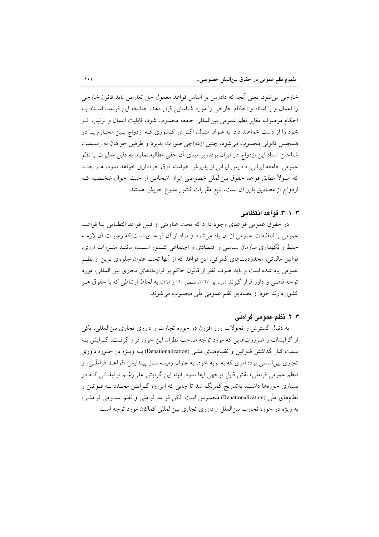خارجي مي شود. يعني اّنجا كه دادرس بر اساس قواعد معمول حل تعارض بايد قانون خارجي را اعمال و یا اسناد و احکام خارجی را مورد شناسایی قرار دهد، چنانچه این قواعد، اسـناد پـا احکام موصوف مغایر نظم عمومی بینالمللی جامعه محسوب شود، قابلیت اعمال و ترتیب اثــر خود را از دست خواهند داد. به عنوان مثـال، اگـر در كـشورى كـه ازدواج بـين محـارم يـا دو همجنس قانونی محسوب می شود، چنین ازدواجی صورت پذیرد و طرفین خواهان به رسـمیت شناختن اسناد این ازدواج در ایران بوده، بر مبنای آن حقی مطالبه نمایند به دلیل مغایرت با نظم عمومی جامعه ایرانی، دادرس ایرانی از پذیرش خواسته فوق خودداری خواهد نمود، هـر چنـد كه اصولاً مطابق قواعد حقوق بين|لملل خصوصي ايران اشخاص از حيث احوال شخـصيه كـه ازدواج از مصادیق بارز آن است، تابع مقررات کشور متبوع خویش هستند.

#### ٣-١-٣. قواعد انتظامي

در حقوق عمومی قواعدی وجود دارد که تحت عناوینی از قبیل قواعد انتظـامی یــا قواعــد عمومی یا انتظامات عمومی از آن یاد می شود و مراد از آن قواعدی است که رعایت آن لازمـه حفظ و نگهداری سازمان سیاسی و اقتصادی و اجتماعی کشور است؛ ماننـد مقـررات ارزی، قوانین مالیاتی، محدودیتهای گمرکی. این قواعد که از آنها تحت عنوان جلوهای نوین از نظـم عمومي ياد شده است و بايد صرف نظر از قانون حاكم بر قراردادهاي تجارى بين المللي، مورد توجه قاضی و داور قرار گیرند (درن ایو، ۱۳٦۷، صص ۱۹۰ و ۱۹۱)، به لحاظ ارتباطی که با حقوق هـر کشور دارند خود از مصادیق نظم عمومی ملّی محسوب میشوند.

# ۳–۲. نظم عمومی فراملّی

به دنبال گسترش و تحولات روز افزون در حوزه تجارت و داوری تجاری بین|لمللی، یکی از گرایشات و ضرورتهایی که مورد توجه صاحب نظران این حوزه قرار گرفت، گـرایش بـه سمت کنار گذاشتن قـوانين و نظـامهـای ملـی (Denationalization) بـه ويـژه در حـوزه داوری تجاری بین|لمللی بود؛ امری که به نوبه خود، به عنوان زمینـهسـاز پیــدایش «قواعــد فراملّــی» و «نظم عمومی فراملّی» نقش قابل توجهی ایفا نمود. البته این گرایش علی رغـم توفیقـاتی کـه در بسیاری حوزهها داشت، بهتدریج کمرنگ شد تا جایی که امروزه گـرایش مجـدد بــه قــوانین و نظامهای ملّی (Renationalization) محسوس است. لکن قواعد فراملی و نظم عمـومی فراملـی، به ویژه در حوزه تجارت بین|لملل و داوری تجاری بین|لمللی کماکان مورد توجه است.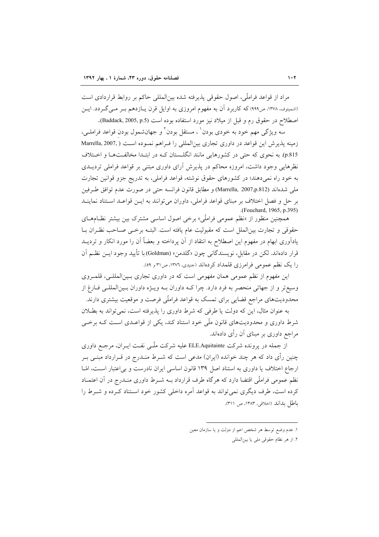مراد از قواعد فراملِّي، اصول حقوقي پذيرفته شده بين|لمللي حاكم بر روابط قراردادي است (اشمیتوف، ۱۳۷۸، ص۹۹۹) که کاربرد آن به مفهوم امروزی به اوایل قرن پیازدهم بسر می گردد. ایسن اصطلاح در حقوق رم و قبل از میلاد نیز مورد استفاده بوده است (Baddack, 2005, p.5).

سه ویژگی مهم خود به خودی بودن<sup>۱</sup> ، مستقل بودن<sup>۲</sup> و جهانشمول بودن قواعد فراملــی، زمینه پذیرش این قواعد در داوری تجاری بینالمللی را فـراهم نمـوده اسـت ( Marrella, 2007, p.815). به نحوی که حتی در کشورهایی مانند انگلستان کـه در ابتـدا مخالفـتهـا و اخـتلاف نظرهایی وجود داشت، امروزه محاکم در پذیرش آرای داوری مبتنی بر قواعد فراملی تردیــدی به خود راه نمی دهند؛ در کشورهای حقوق نوشته، قواعد فراملی، به تدریج جزو قوانین تجارت ملي شدهاند (Marrella, 2007,p.812) و مطابق قانون فرانسه حتى در صورت عدم توافق طرفين بر حل و فصل اختلاف بر مبناى قواعد فراملي، داوران مى توانند به ايــن قواعــد اسـتناد نماينــد (Fouchard, 1965, p.395).

همچنین منظور از «نظم عمومی فراملّی» برخی اصول اساسی مشترک بین بیشتر نظـامهـای حقوقي و تجارت بين|لملل است كه مقبوليت عام يافته است. البتـه برخـي صـاحب نظـران بــا یادآوری ابهام در مفهوم این اصطلاح به انتقاد از آن پرداخته و بعضاً آن را مورد انکار و تردیــد قرار دادهاند. لكن در مقابل، نويسندگاني چون «گلدمن» (Goldman) با تأييد وجود ايــن نظــم آن را یک نظم عمومی فرامرزی قلمداد کردهاند (جنیدی، ۱۳۷۲، ص۳۱ و ۵۹).

این مفهوم از نظم عمومی همان مفهومی است که در داوری تجاری بـین|لمللـی، قلمـروی وسیع تر و از جهاتی منحصر به فرد دارد. چرا کـه داوران بـه ویـژه داوران بـینالمللـی فـارغ از محدودیتهای مراجع قضایی برای تمسک به قواعد فراملّی فرصت و موقعیت بیشتری دارند.

به عنوان مثال، این که دولت یا طرفی که شرط داوری را پذیرفته است، نمی تواند به بطلان شرط داوری و محدودیتهای قانون ملّی خود استناد کند، یکی از قواعـدی اسـت کـه برخـی مراجع داوری بر مبنای آن رأی دادهاند.

از جمله در پرونده شرکت ELE.Aquitainte علیه شرکت ملّـبی نفـت ایــران، مرجــع داوری چنین رأی داد که هر چند خوانده (ایران) مدعی است که شـرط منـدرج در قـرارداد مبنـی بـر ارجاع اختلاف یا داوری به استناد اصل ۱۳۹ قانون اساسی ایران نادرست و بی اعتبار است، امّـا نظم عمومی فراملّی اقتضا دارد که هر گاه طرف قرارداد بــه شــرط داوری منــدرج در آن اعتمــاد کرده است، طرف دیگری نمی تواند به قواعد آمره داخلی کشور خود اسـتناد کـرده و شــرط را باطل بداند (اخلاقی، ١٣٨٣، ص ٣١١).

١. عدم وضع توسط هر شخص اعم از دولت و يا سازمان معين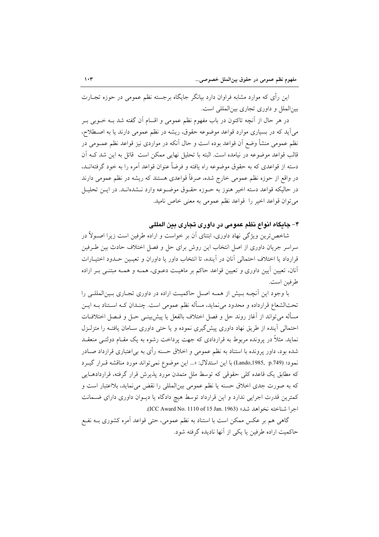این رأی که موارد مشابه فراوان دارد بیانگر جایگاه برجسته نظم عمومی در حوزه تجـارت بین الملل و داوری تجاری بین المللی است.

در هر حال از آنچه تاکنون در باب مفهوم نظم عمومی و اقسام آن گفته شد بــه خــوبی بــر میآید که در بسیاری موارد قواعد موضوعه حقوق، ریشه در نظم عمومی دارند یا به اصطلاح، نظم عمومی منشأ وضع آن قواعد بوده است و حال آنکه در مواردی نیز قواعد نظم عمــومی در قالب قواعد موضوعه در نیامده است. البته با تحلیل نهایی ممکن است قائل به این شد کـه آن دسته از قواعدی که به حقوق موضوعه راه یافته و فرضاً عنوان قواعد آمره را به خود گرفتهانــد، در واقع از حوزه نظم عمومی خارج شده، صرفاً قواعدی هستند که ریشه در نظم عمومی دارند در حاليكه قواعد دسته اخير هنوز به حـوزه حقـوق موضـوعه وارد نــشدهانــد. در ايــن تحليــل مي توان قواعد اخير را قواعد نظم عمومي به معنى خاص ناميد.

۴– جايگاه انواع نظم عمومي در داوري تجاري بين المللي

شاخص ترین ویژگی نهاد داوری، ابتنای آن بر خواست و اراده طرفین است زیرا اصـولاً در سراسر جریان داوری از اصل انتخاب این روش برای حل و فصل اختلاف حادث بین طـرفین قرارداد یا اختلاف احتمالی آنان در آینده، تا انتخاب داور یا داوران و تعیـین حـدود اختیـارات آنان، تعیین آیین داوری و تعیین قواعد حاکم بر ماهیـت دعــوی، همــه و همــه مبتنــی بــر اراده طرفين است.

با وجود این آنچـه بـیش از همـه اصـل حاکمیـت اراده در داوری تجـاری بـینالمللـی را تحتالشعاع قرارداده و محدود می نماید، مسأله نظم عمومی است. چنـدان کــه اسـتناد بــه ایــن مسأله مي تواند از آغاز روند حل و فصل اختلاف بالفعل يا پيشبينــي حــل و فــصل اختلافــات احتمالی آینده از طریق نهاد داوری پیشگیری نموده و یا حتی داوری سـامان یافتـه را متزلـزل نماید. مثلاً در پرونده مربوط به قراردادی که جهت پرداخت رشوه به یک مقـام دولتــی منعقــد شده بود، داور پرونده با استناد به نظم عمومی و اخلاق حسنه رأی به بی|عتباری قرارداد صـادر نمود؛ (Lando,1985, p.749) با اين استدلال: «... اين موضوع نمي تواند مورد مناقشه قبرار گيبرد که مطابق یک قاعده کلی حقوقی که توسط ملل متمدن مورد پذیرش قرار گرفته، قراردادهـایی که به صورت جدی اخلاق حسنه یا نظم عمومی بینالمللی را نقض می نماید، بلااعتبار است و کمترین قدرت اجرایی ندارد و این قرارداد توسط هیچ دادگاه یا دیوان داوری دارای ضمانت اجرا شناخته نخواهد شد» (ICC Award No. 1110 of 15 Jan. 1963).

گاهی هم بر عکس ممکن است با استناد به نظم عمومی، حتی قواعد آمره کشوری بــه نفــع حاكميت اراده طرفين يا يكي از آنها ناديده گرفته شود.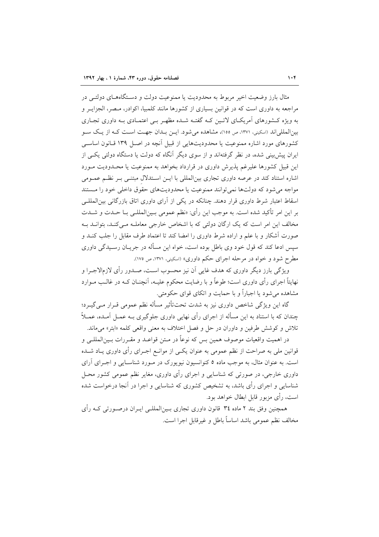مثال بارز وضعیت اخیر مربوط به محدودیت یا ممنوعیت دولت و دسـتگاههــای دولتــی در مراجعه به داوری است که در قوانین بسیاری از کشورها مانند کلمبیا، اکوادر، مـصر، الجزایـر و به ویژه کشورهای آمریکـای لاتـین کـه گفتـه شـده مظهـر بـی اعتمـادی بـه داوری تجـاری بين|لمللي|ند (اسكيني، ١٣٧١، ص ١٥٥)، مشاهده مي شود. ايــن بــدان جهــت اســت كــه از يـك ســو کشورهای مورد اشاره ممنوعیت یا محدودیتهایی از قبیل آنچه در اصل ۱۳۹ قیانون اساسی ایران پیش بینی شده، در نظر گرفتهاند و از سوی دیگر آنگاه که دولت یا دستگاه دولتی یکسی از این قبیل کشورها علیرغم پذیرش داوری در قرارداد بخواهد به ممنوعیت یا محـدودیت مـورد اشاره استناد کند در عرصه داوری تجاری بین|لمللی با ایـن اسـتدلال مبتنـی بـر نظـم عمـومی مواجه می شود که دولتها نمی توانند ممنوعیت یا محدودیتهای حقوق داخلی خود را مستند اسقاط اعتبار شرط داوری قرار دهند. چنانکه در یکی از آرای داوری اتاق بازرگانی بین|لمللبی بر اين امر تأكيد شده است. به موجب اين رأي: «نظم عمومي بـينالمللـي بــا حــدت و شــدت مخالف این امر است که یک ارگان دولتی که با اشخاص خارجی معاملـه مـیکنـد، بتوانـد بـه صورت آشکار و با علم و اراده شرط داوری را امضا کند تا اعتماد طرف مقابل را جلب کنــد و سپس ادعا کند که قول خود وی باطل بوده است، خواه این مسأله در جریــان رســیدگی داوری مطرح شود و خواه در مرحله اجرای حکم داوری» (اسکینی، ۱۳۷۱، ص ۱۷۵).

ویژگی بارز دیگر داوری که هدف غایی آن نیز محسوب است، صـدور رأی لازمالاجـرا و نهایتاً اجرای رأی داوری است؛ طوعاً و با رضایت محکوم علیـه، آنچنــان کــه در غالــب مــوارد مشاهده مي شود يا اجباراً و با حمايت و اتكاى قواي حكومتي.

گاہ این ویژگی شاخص داوری نیز به شدت تحت تأثیر مسأله نظم عمومی قبرار مبے گیبرد؛ چندان که با استناد به این مسأله از اجرای رأی نهایی داوری جلوگیری بـه عمـل آمـده، عمـلاً تلاش و كوشش طرفين و داوران در حل و فصل اختلاف به معنى واقعى كلمه «ابتر» مىماند.

در اهميت واقعيات موصوف همين بس كه نوعاً در مـتن قواعـد و مقـررات بـين|لمللـي و قوانین ملی به صراحت از نظم عمومی به عنوان یکـی از موانـع اجـرای رأی داوری یـاد شــده است. به عنوان مثال، به موجب ماده ٥ کنوانسیون نیویورک در مـورد شناسـایی و اجـرای آرای داوري خارجي، در صورتي که شناسايي و اجراي رأي داوري، مغاير نظم عمومي کشور محـل شناسایی و اجرای رأی باشد، به تشخیص کشوری که شناسایی و اجرا در آنجا درخواست شده است، رأى مزبور قابل ابطال خواهد بود.

همچنین وفق بند ۲ ماده ۳٤ قانون داوری تجاری بـین|لمللـی ایـران درصـورتی کـه رأی مخالف نظم عمومي باشد اساساً باطل و غيرقابل اجرا است.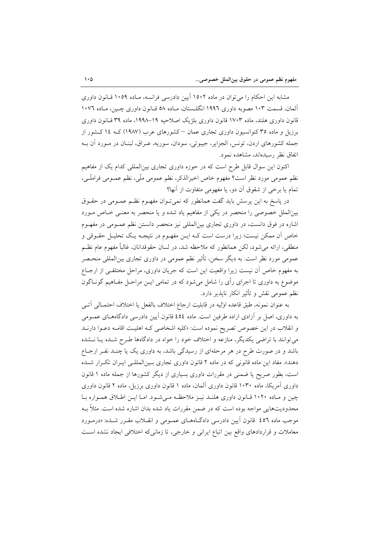مشابه این احکام را می توان در ماده ۱۵۰۲ آیین دادرسی فرانسه، مـاده ۱۰۵۹ قـانون داوری آلمان، قسمت ۱۰۳ مصوبه داوری ۱۹۹۲ انگلـستان، مـاده ۵۸ قـانون داوری چـین، مـاده ۱۰۷٦ قانون داوری هلند، ماده ۱۷۰۳ قانون داوری بلژیک اصلاحیه ۱۹–۱۹۹۸، ماده ۳۹ قـانون داوری برزیل و ماده ۳۵ کنوانسیون داوری تجاری عمان –کشورهای عرب (۱۹۸۷) کـه ۱۶ کـشور از جمله كشورهاي اردن، تونس، الجزاير، جيبوتي، سودان، سوريه، عـراق، لبنـان در مـورد آن بـه اتفاق نظر رسیدهاند، مشاهده نمود.

اکنون این سوال قابل طرح است که در حوزه داوری تجاری بینالمللی کدام یک از مفاهیم نظم عمومي مورد نظر است؟ مفهوم خاص اخيرالذكر، نظم عمومي ملَّى، نظم عمــومي فراملّـي، تمام یا برخی از شقوق آن دو، یا مفهومی متفاوت از آنها؟

در پاسخ به این پرسش باید گفت همانطور که نمی تـوان مفهـوم نظـم عمـومی در حقـوق بین|لملل خصوصی را منحصر در یکی از مفاهیم یاد شده و یا منحصر به معنـی خـاص مـورد اشاره در فوق دانست، در داوری تجاری بینالمللی نیز منحصر دانستن نظم عمـومی در مفهـوم خاص آن ممکن نیست؛ زیرا درست است کـه ایـن مفهـوم در نتیجـه یـک تحلیـل حقـوقی و منطقی، ارائه میشود، لکن همانطور که ملاحظه شد، در لسان حقوقدانان، غالباً مفهوم عام نظـم عمومی مورد نظر است. به دیگر سخن، تأثیر نظم عمومی در داوری تجاری بین|لمللی منحـصر به مفهوم خاص آن نیست زیرا واقعیت این است که جریان داوری، مراحل مختلفی از ارجـاع موضوع به داوری تا اجرای رأی را شامل میشود که در تمامی ایــن مراحــل مفــاهیم گونــاگون نظم عمومی نقش و تأثیر انکار ناپذیر دارد.

به عنوان نمونه، طبق قاعده اوليه در قابليت ارجاع اختلاف بالفعل يا اختلاف احتمـالمي آتــي به داوری، اصل بر آزادی اراده طرفین است. ماده ٤٥٤ قانون آیین دادرسی دادگاههـای عمــومی و انقلاب در این خصوص تصریح نموده است: «کلیه اشخاصی کـه اهلیـت اقامـه دعـوا دارنـد می توانند با تراضی یکدیگر، منازعه و اختلاف خود را خواه در دادگاهها طـرح شـده یـا نــشده باشد و در صورت طرح در هر مرحلهای از رسیدگی باشد، به داوری یک یا چنـد نفـر ارجـاع دهند». مفاد این ماده قانونی که در ماده ۲ قانون داوری تجاری بین المللهی ایـران تکـرار شـده است، بطور صریح یا ضمنی در مقررات داوری بسیاری از دیگر کشورها از جمله ماده ۱ قانون داوری آمریکا، ماده ۱۰۳۰ قانون داوری آلمان، ماده ۱ قانون داوری برزیل، ماده ۲ قانون داوری چین و مـاده ۱۰۲۰ قـانون داوری هلنـد نیـز ملاحظـه مـی شـود. امـا ایـن اطـلاق همـواره بـا محدودیتهایی مواجه بوده است که در ضمن مقررات یاد شده بدان اشاره شده است. مثلاً بــه موجب ماده ٤٥٦ قانون آيين دادرسي دادگـاههـاي عمـومي و انقــلاب مقـرر شــده: «درمـورد معاملات و قراردادهای واقع بین اتباع ایرانی و خارجی، تا زمانی که اختلافی ایجاد نشده است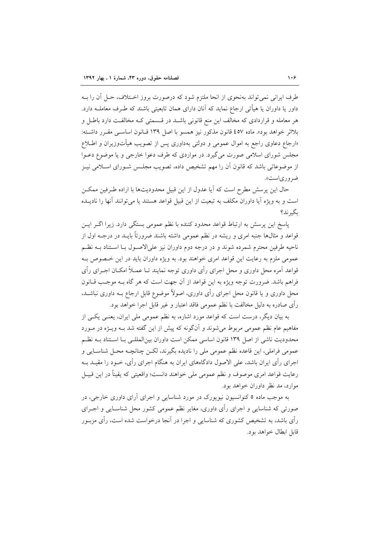طرف ایرانی نمی تواند بهنحوی از انحا ملتزم شود که درصورت بروز اخــتلاف، حـل آن را بــه داور یا داوران یا هیأتی ارجاع نماید که آنان دارای همان تابعیتی باشند که طـرف معاملــه دارد. هر معامله و قراردادی که مخالف این منع قانونی باشـد در قـسمتی کـه مخالفـت دارد باطـل و بلااثر خواهد بود». ماده ٤٥٧ قانون مذكور نيز همسو با اصل ١٣٩ قبانون اساسبي مقبرر داشته: «ارجاع دعاوی راجع به اموال عمومی و دولتی بهداوری پس از تصویب هیأتوزیران و اطــلاع مجلس شورای اسلامی صورت میگیرد. در مواردی که طرف دعوا خارجی و یا موضوع دعـوا از موضوعاتی باشد که قانون آن را مهم تشخیص داده، تصویب مجلـس شـورای اسـلامی نیـز ضر ورياست».

حال این پرسش مطرح است که آیا عدول از این قبیل محدودیتها با اراده طـرفین ممکــن است و به ویژه آیا داوران مکلف به تبعیت از این قبیل قواعد هستند یا می توانند آنها را نادیــده ىگىر ند؟

پاسخ این پرسش به ارتباط قواعد محدود کننده با نظم عمومی بستگی دارد. زیرا اگـر ایـن قواعد و مثالها جنبه امری و ریشه در نظم عمومی داشته باشند ضرورتاً بایــد در درجــه اول از ناحیه طرفین محترم شمرده شوند و در درجه دوم داوران نیز علیالاصـول بـا اسـتناد بــه نظــم عمومی ملزم به رعایت این قواعد امری خواهند بود. به ویژه داوران باید در این خصوص بـه قواعد آمره محل داوری و محل اجرای رأی داوری توجه نمایند تـا عمــلاً امکــان اجــرای رأی فراهم باشد. ضرورت توجه ویژه به این قواعد از آن جهت است که هر گاه بـه موجـب قــانون محل داوری و یا قانون محل اجرای رأی داوری، اصولاً موضوع قابل ارجاع بـه داوری نباشــد. رأى صادره به دليل مخالفت با نظم عمومي فاقد اعتبار و غير قابل اجرا خواهد بود.

به بیان دیگر، درست است که قواعد مورد اشاره، به نظم عمومی ملی ایران، یعنـی یکـی از مفاهیم عام نظم عمومی مربوط می شوند و آنگونه که پیش از این گفته شد بـه ویــژه در مــورد محدودیت ناشی از اصل ۱۳۹ قانون اساسی ممکن است داوران بینالمللـی بـا اسـتناد بـه نظـم عمومي فراملي، اين قاعده نظم عمومي ملي را ناديده بگيرند، لكـن چنانچــه محـل شناسـايي و اجرای رأی ایران باشد، علی الاصول دادگاههای ایران به هنگام اجرای رأی، خــود را مقیــد بــه رعايت قواعد امري موصوف و نظم عمومي ملي خواهند دانست؛ واقعيتي كه يقيناً در اين قبيـل موارد، مد نظر داوران خواهد بود.

به موجب ماده ۵ کنوانسیون نیویورک در مورد شناسایی و اجرای آرای داوری خارجی، در صورتی که شناسایی و اجرای رأی داوری، مغایر نظم عمومی کشور محل شناسـایی و اجـرای رأی باشد، به تشخیص کشوری که شناسایی و اجرا در آنجا درخواست شده است، رأی مزبــور قابل ابطال خواهد بود.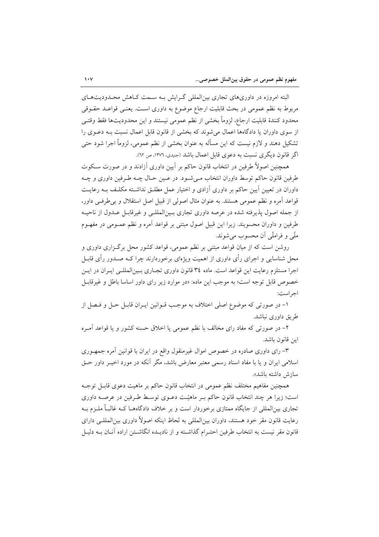البته امروزه در داوریهای تجاری بینالمللی گـرایش بـه سـمت کـاهش محـدودیتهـای مربوط به نظم عمومی در بحث قابلیت ارجاع موضوع به داوری است. یعنبی قواعـد حقــوقی محدود كنندهٔ قابلیت ارجاع، لزوماً بخشی از نظم عمومی نیستند و این محدودیتها فقط وقتـی از سوی داوران یا دادگاهها اعمال میشوند که بخشی از قانون قابل اعمال نسبت بـه دعـوی را تشکیل دهند و لازم نیست که این مسأله به عنوان بخشی از نظم عمومی، لزوماً اجرا شود حتی اگر قانون دیگری نسبت به دعوی قابل اعمال باشد (جنیدی، ۱۳۷۶، ص ٦۲).

همچنین اصولاً طرفین در انتخاب قانون حاکم بر آیین داوری آزادند و در صورت سکوت طرفین قانون حاکم توسط داوران انتخاب مـی شـود. در عـین حـال چـه طـرفین داوری و چـه داوران در تعیین آیین حاکم بر داوری آزادی و اختیار عمل مطلـق نداشـته مکلـف بـه رعایـت قواعد آمره و نظم عمومی هستند. به عنوان مثال اصولی از قبیل اصل استقلال و بی طرفی داور، از جمله اصول پذیرفته شده در عرصه داوری تجاری بـینالمللـی و غیرقابـل عـدول از ناحیـه طرفین و داوران محسوبند. زیرا این قبیل اصول مبتنی بر قواعد آمره و نظم عمــومی در مفهــوم ملّی و فراملّی آن محسوب می شوند.

روشن است که از میان قواعد مبتنی بر نظم عمومی، قواعد کشور محل برگـزاری داوری و محل شناسایی و اجرای رأی داوری از اهمیت ویژهای برخوردارند چرا کـه صـدور رأی قابــل اجرا مستلزم رعایت این قواعد است. ماده ۳٤ قانون داوری تجـاری بـینالمللـی ایـران در ایـن خصوص قابل توجه است؛ به موجب این ماده: «در موارد زیر رای داور اساسا باطل و غیرقابل اجر است:

١- در صورتي كه موضوع اصلي اختلاف به موجب قــوانين ايــران قابــل حــل و فــصل از طريق داوري نباشد.

۲- در صورتی که مفاد رای مخالف با نظم عمومی یا اخلاق حسنه کشور و یا قواعد آمـره اين قانون باشد.

۳– رای داوری صادره در خصوص اموال غیرمنقول واقع در ایران با قوانین آمره جمهـوری اسلامی ایران و یا با مفاد اسناد رسمی معتبر معارض باشد، مگر آنکه در مورد اخیــر داور حــق سازش داشته باشد».

همچنین مفاهیم مختلف نظم عمومی در انتخاب قانون حاکم بر ماهیت دعوی قابـل توجـه است؛ زیرا هر چند انتخاب قانون حاکم بـر ماهیّـت دعـوی توسـط طـرفین در عرصـه داوری تجاری بین|لمللی از جایگاه ممتازی برخوردار است و بر خلاف دادگاههــا کــه غالبــاً ملــزم بــه رعایت قانون مقر خود هستند، داوران بین|لمللی به لحاظ اینکه اصولاً داوری بین|لمللـی دارای قانون مقر نیست به انتخاب طرفین احتـرام گذاشــته و از نادیــده انگاشــتن اراده آنــان بــه دلیــل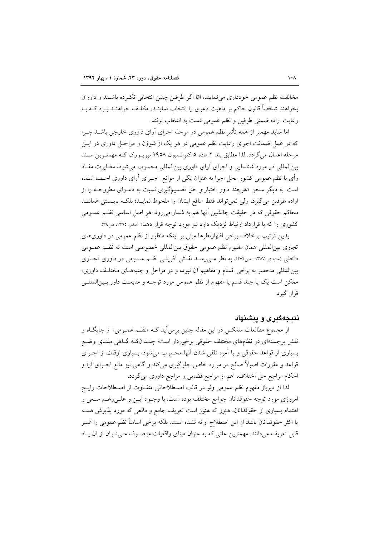مخالفت نظم عمومی خودداری می نمایند، امّا اگر طرفین چنین انتخابی نکـرده باشـند و داوران بخواهند شخصاً قانون حاکم بر ماهیت دعوی را انتخاب نماینـد، مکلـف خواهنـد بـود کـه بـا رعايت اراده ضمني طرفين و نظم عمومي دست به انتخاب بزنند.

اما شاید مهمتر از همه تأثیر نظم عمومی در مرحله اجرای آرای داوری خارجی باشــد چــرا که در عمل ضمانت اجرای رعایت نظم عمومی در هر یک از شوؤن و مراحـل داوری در ایــن مرحله اعمال می گردد. لذا مطابق بند ۲ ماده ۵ کنوانسیون ۱۹۵۸ نیویـورک کـه مهمتـرین سـند بینالمللی در مورد شناسایی و اجرای آرای داوری بینالمللی محسوب می شود، مغـایرت مفـاد رأى با نظم عمومى كشور محل اجرا به عنوان يكي از موانع اجـراى آراى داورى احـصا شــده است. به دیگر سخن «هرچند داور اختیار و حق تصمیمگیری نسبت به دعـوای مطروحـه را از اراده طرفین می گیرد، ولی نمی تواند فقط منافع ایشان را ملحوظ نمایـد؛ بلکـه بایـستی هماننـد محاکم حقوقی که در حقیقت جانشین آنها هم به شمار میرود، هر اصل اساسی نظـم عمــومی کشوری را که با قرارداد ارتباط نزدیک دارد نیز مورد توجه قرار دهد» (لندو، ١٣٦٥، ص٣٩).

بدین ترتیب برخلاف برخی اظهارنظرها مبنی بر اینکه منظور از نظم عمومی در داوریهای تجاري بين|لمللي همان مفهوم نظم عمومي حقوق بين|لمللي خصوصي است نه نظـم عمــومي داخلی (جنیدی، ۱۳۸۷ ، ص۲۷۲)، به نظر میررسـد نقـش اَفرینـی نظـم عمـومی در داوری تجـاری بینالمللی منحصر به برخی اقسام و مفاهیم آن نبوده و در مراحل و جنبههـای مختلـف داوری، ممکن است یک یا چند قسم یا مفهوم از نظم عمومی مورد توجـه و متابعـت داور بـینالمللـی قرار گېرد.

### نتىجەگىرى و يىشنھاد

از مجموع مطالعات منعکس در این مقاله چنین برمیآید کـه «نظـم عمـومی» از جایگـاه و نقش برجستهای در نظامهای مختلف حقوقی برخوردار است؛ چنـدانکـه گـاهی مبنـای وضـع بسیاری از قواعد حقوقی و یا آمره تلقی شدن آنها محسوب می شود، بسیاری اوقات از اجـرای قواعد و مقررات اصولاً صالح در موارد خاص جلوگیری میکند و گاهی نیز مانع اجــرای آرا و احکام مراجع حل اختلاف، اعم از مراجع قضایی و مراجع داوری میگردد.

لذا از ديرباز مفهوم نظم عمومي ولو در قالب اصـطلاحاتي متفـاوت از اصـطلاحات رايــج امروزی مورد توجه حقوقدانان جوامع مختلف بوده است. با وجـود ایــن و علــی رغــم ســعی و اهتمام بسیاری از حقوقدانان، هنوز که هنوز است تعریف جامع و مانعی که مورد پذیرش همـه يا اكثر حقوقدانان باشد از اين اصطلاح ارائه نشده است. بلكه برخي اساساً نظم عمومي را غيــر قابل تعریف میدانند. مهمترین علتی که به عنوان مبنای واقعیات موصـوف مـی تـوان از آن یـاد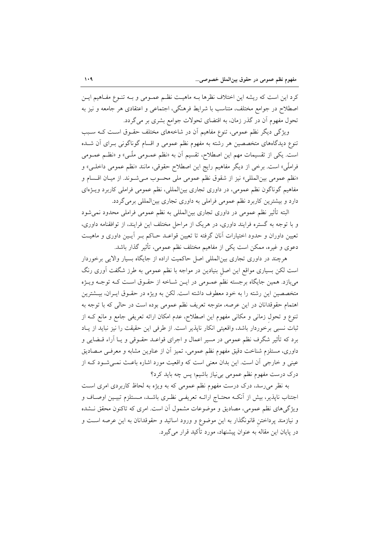كرد اين است كه ريشه اين اختلاف نظرها بـه ماهيـت نظـم عمــومى و بــه تنــوع مفــاهيم ايــن اصطلاح در جوامع مختلف، متناسب با شرايط فرهنگي، اجتماعي و اعتقادي هر جامعه و نيز به تحول مفهوم آن در گذر زمان، به اقتضای تحولات جوامع بشری بر میگردد.

ویژگی دیگر نظم عمومی، تنوع مفاهیم آن در شاخههای مختلف حقـوق اسـت کـه سـبب تنوع دیدگاههای متخصصین هر رشته به مفهوم نظم عمومی و اقسام گوناگونی بـرای آن شــده است. یکی از تقسیمات مهم این اصطلاح، تقسیم اَن به «نظم عمـومی ملّـی» و «نظـم عمـومی فراملِّي» است. برخي از ديگر مفاهيم رايج اين اصطلاح حقوقي، مانند «نظم عمومي داخلـي» و «نظم عمومي بين|لمللي» نيز از شقوق نظم عمومي ملي محسوب مـي شـوند. از ميـان اقـسام و مفاهیم گوناگون نظم عمومی، در داوری تجاری بین|لمللی، نظم عمومی فراملی کاربرد ویـژهای دارد و بیشترین کاربرد نظم عمومی فراملی به داوری تجاری بین المللی برمی گردد.

البته تأثیر نظم عمومی در داوری تجاری بین|لمللی به نظم عمومی فراملی محدود نمی شود و با توجه به گستره فرایند داوری، در هریک از مراحل مختلف این فرایند، از توافقنامه داوری، تعیین داوران و حدود اختیارات آنان گرفته تا تعیین قواعـد حـاکم بـر آیـین داوری و ماهیـت دعوی و غیره، ممکن است یکی از مفاهیم مختلف نظم عمومی، تأثیر گذار باشد.

هرچند در داوری تجاری بینالمللی اصل حاکمیت اراده از جایگاه بسیار والایی برخوردار است لکن بسیاری مواقع این اصل بنیادین در مواجه با نظم عمومی به طرز شگفت آوری رنگ میبازد. همین جایگاه برجسته نظم عمـومی در ایـن شـاخه از حقـوق اسـت کـه توجـه ویـژه متخصصین این رشته را به خود معطوف داشته است. لکن به ویژه در حقـوق ایـران، بیــشترین اهتمام حقوقدانان در این عرصه، متوجه تعریف نظم عمومی بوده است در حالی که با توجه به تنوع و تحول زمانی و مکانی مفهوم این اصطلاح، عدم امکان ارائه تعریفی جامع و مانع کـه از ثبات نسبی برخوردار باشد، واقعیتی انکار ناپذیر است. از طرفی این حقیقت را نیز نباید از پاد برد که تأثیر شگرف نظم عمومی در مسیر اعمال و اجرای قواعـد حقـوقی و یـا آراء قــضایی و داوری، مستلزم شناخت دقیق مفهوم نظم عمومی، تمیز آن از عناوین مشابه و معرفـی مـصادیق عینی و خارجی آن است. این بدان معنی است که واقعیت مورد اشاره باعث نمـیشـود کـه از درک درست مفهوم نظم عمومی بی نیاز باشیم؛ پس چه باید کرد؟

به نظر می رسد، درک درست مفهوم نظم عمومی که به ویژه به لحاظ کاربردی امری است اجتناب ناپذیر، بیش از آنکـه محتـاج ارائـه تعریفـی نظـری باشـد، مـستلزم تبیـین اوصـاف و ویژگیهای نظم عمومی، مصادیق و موضوعات مشمول آن است. امری که تاکنون محقق نـشده و نیازمند پرداختن قانونگذار به این موضوع و ورود اساتید و حقوقدانان به این عرصه است و در پایان این مقاله به عنوان پیشنهاد، مورد تأکید قرار می گیرد.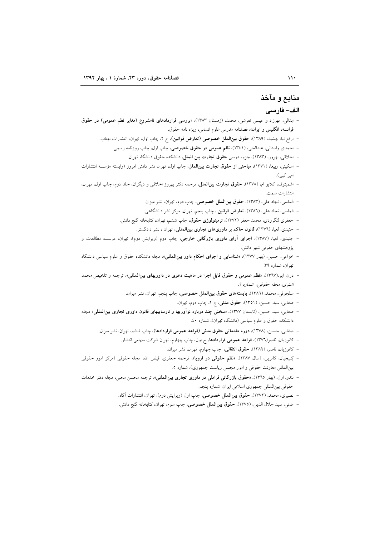# منابع و مآخذ الف- فارسي

- ابدالی، مهرزاد و عیسی تفرشی، محمد، (زمستان ۱۳۸۳)، «بررسی قراردادهای نامشروع (مغایر نظم عمومی) در حقوق فرانسه، انگليس و ايران»، فصلنامه مدرس علوم انساني، ويژه نامه حقوق.
	- ارفع نيا، بهشيد، (١٣٨٩)، حقوق بينالملل خصوصي (تعارض قوانين)، ج ٢، چاپ اول، تهران، انتشارات بهتاب.
		- احمدی واستانی، عبدالغنی، (۱۳٤۱)، **نظم عمومی در حقوق خصوصی**، چاپ اول، چاپ روزنامه رسمی.
			- اخلاقی، بهروز، (۱۳۸۳)، جزوه درسی حقوق تجارت بین الملل، دانشکده حقوق دانشگاه تهران.
- اسکینی، ربیعا، (۱۳۷۱)، **مباحثی از حقوق تجارت بینالملل**، چاپ اول، تهران نشر دانش امروز (وابسته مؤسسه انتشارات امير كبير).
- اشمیتوف، کلایو ام، (۱۳۷۸)، حقوق تجارت بینالملل، ترجمه دکتر بهروز اخلاقی و دیگران، جلد دوم، چاپ اول، تهران، انتشارات سمت.
	- الماسي، نجاد علي، (١٣٨٣)، حقوق بين**الملل خصوصي**، چاپ دوم، تهران، نشر ميزان.
	- الماسی، نجاد علی، (١٣٨٦)، تعارض قوانین ، چاپ پنجم، تهران، مرکز نشر دانشگاهی.
	- جعفری لنگرودی، محمد جعفر (۱۳۷۲)، **ترمینولوژی حقوق**، چاپ ششم، تهران، کتابخانه گنج دانش.
		- جنیدی، لعیا، (١٣٧٦)، قانون حاکم بر داوریهای تجاری بینالمللی، تهران ، نشر دادگستر.
- جنیدی، لعیا، (۱۳۸۷)، ا**جرای آرای داوری بازرگانی خارجی**، چاپ دوم (ویرایش دوم)، تهران، موسسه مطالعات و پژوهشهای حقوقی شهر دانش.
- خزاعی، حسین، (بهار ۱۳۷۷)، **«شناسایی و اجرای احکام داور بین المللی»**، مجله دانشکده حقوق و علوم سیاسی دانشگاه تهران، شماره ٣٩.
- درن، ایو،(۱۳٦۷)، «نظم عمومی و حقوق قابل اجرا در ماهیت دعوی در داوریهای بین المللی»، ترجمه و تلخیص محم*د* اشترى، مجله حقوقى، شماره ٩.
	- سلجوقي، محمد، (١٣٨٦)، **بايستههاي حقوق بين|لملل خصوصي**، چاپ پنجم، تهران، نشر ميزان.
		- صفایی، سید حسین، (۱۳۵۱)، حقوق مدنی، ج ۲، چاپ دوم، تهران.
- صفایی، سید حسین، (تابستان ١٣٧٧)، «**سخنی چند درباره نوآوریها و نارساییهای قانون داوری تجاری بین المللی**» مجله دانشکده حقوق و علوم سیاسی (دانشگاه تهران)، شماره ٤٠.
	- صفایی، حسین، (۱۳۷۸)، **دوره مقدماتی حقوق مدنی (قواعد عمومی قراردادها)**، چاپ ششم، تهران، نشر میزان.
		- کاتوزیان، ناصر(۱۳۷<mark>۲)، قواعد عمومی قراردادها</mark>، ج اول، چاپ چهارم، تهران شرکت سهامی انتشار.
			- كاتوزيان، ناصر، (١٣٨٩)، حقوق انتقالى، چاپ چهارم، تهران، نشر ميزان.
- کِسِجِیان، کاترین، (سال ۱۳۸۷)، «**نظم حقوقی در اروپا»**، ترجمه جعفری، فیض الله، مجله حقوقی (مرکز امور حقوقی بین المللی معاونت حقوقی و امور مجلس ریاست جمهوری)، شماره ٥.
- لندو، اول، (بهار ١٣٦٥)، «حقوق بازرگانی فراملی در داوری تجاری بین|لمللی»، ترجمه محسن محبی، مجله دفتر خدمات حقوقي بين المللي جمهوري اسلامي ايران، شماره پنجم.
	- نصیری، محمد، (۱۳۷۲)، **حقوق بین|لملل خصوصی**، چاپ اول (ویرایش دوم)، تهران، انتشارات آگاه.
	- مدنى، سيد جلال الدين، (١٣٧٥)، حقوق بين**الملل خصوصى**، چاپ سوم، تهران، كتابخانه گنج دانش.